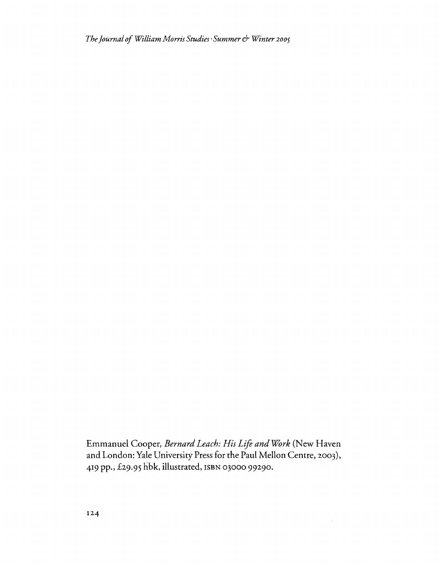*TheJournalofWilliamMorris Studies'Summer*6' *Winter <sup>2005</sup>*

Emmanuel Cooper, *Bernard Leach: His Lift and WOrk* (New Haven and London: Yale University Press for the Paul Mellon Centre, 2003), 419 pp., £29.95 hbk, illustrated, ISBN 03000 99290.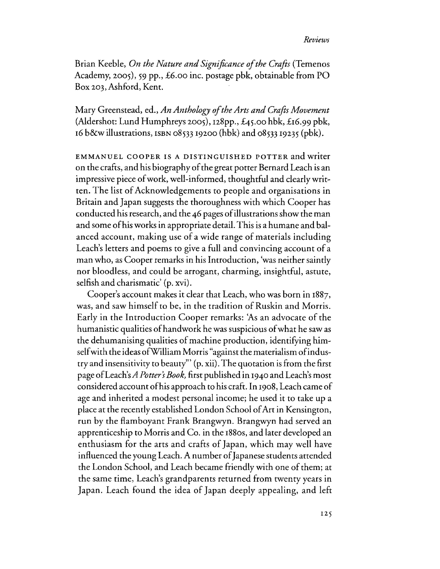## *Reviews*

Brian Keeble, *On the Nature and Significance of the Crafts* (Temenos Academy, 2005), 59 pp., £6.00 inc. postage pbk, obtainable from PO Box 203,Ashford, Kent.

Mary Greenstead, ed., *An Anthology oftheArts and Crafts Movement* (Aldershot: Lund Humphreys 2005),  $128pp.$ ,  $£45.00$  hbk,  $£16.99$  pbk, 16b&w illustrations, ISBN 08533 19200 (hbk) and 08533 19235 (pbk).

EMMANUEL COOPER IS A DISTINGUISHED POTTER and writer on the crafts, and his biography of the great potter Bernard Leach is an impressive piece of work, well-informed, thoughtful and clearly written. The list of Acknowledgements to people and organisations in Britain and Japan suggests the thoroughness with which Cooper has conducted his research, and the 46 pages ofillustrations show the man and some ofhis works in appropriate detail. This is a humane and balanced account, making use of a wide range of materials including Leach's letters and poems to give a full and convincing account of a man who, as Cooper remarks in his Introduction, 'was neither saintly nor bloodless, and could be arrogant, charming, insightful, astute, selfish and charismatic' (p, xvi).

Cooper's account makes it clear that Leach, who was born in 1887, was, and saw himself to be, in the tradition of Ruskin and Morris. Early in the Introduction Cooper remarks: 'As an advocate of the humanistic qualities ofhandwork he was suspicious ofwhat he saw as the dehumanising qualities of machine production, identifying himselfwith the ideas ofWilliam Morris "against the materialism ofindustry and insensitivity to beauty''' (p. xii).The quotation isfrom the first page of Leach's *A Potter's Book*, first published in 1940 and Leach's most considered account ofhis approach to his craft. In 1908,Leach came of age and inherited a modest personal income; he used it to take up a place at the recently established London School ofArt in Kensington, run by the flamboyant Frank Brangwyn. Brangwyn had served an apprenticeship to Morris and Co. in the 1880s, and later developed an enthusiasm for the arts and crafts of Japan, which may well have influenced the young Leach. A number of Japanese students attended the London School, and Leach became friendly with one of them; at the same time, Leach's grandparents returned from twenty years in Japan. Leach found the idea of Japan deeply appealing, and left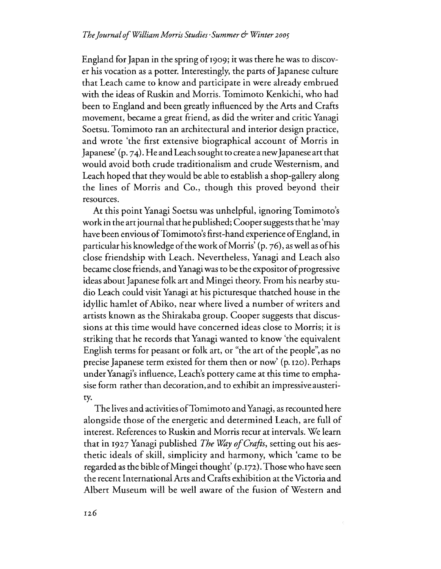England for Japan in the spring of 1909; it was there he was to discover his vocation as a potter. Interestingly, the parts of Japanese culture that Leach came to know and participate in were already embrued with the ideas of Ruskin and Morris. Tomimoto Kenkichi, who had been to England and been greatly influenced by the Arts and Crafts movement, became a great friend, as did the writer and critic Yanagi Soetsu. Tomimoto ran an architectural and interior design practice, and wrote 'the first extensive biographical account of Morris in Japanese' (p. 74). He and Leach sought to create a new Japanese art that would avoid both crude traditionalism and crude Westernism, and Leach hoped that they would be able to establish a shop-gallery along the lines of Morris and Co., though this proved beyond their resources.

At this point Yanagi Soetsu was unhelpful, ignoring Tomimoto's work in the art journal that he published; Cooper suggests that he 'may have been envious of Tomimoto's first-hand experience of England, in particular his knowledge ofthe work ofMorris' (p. 76), aswell asofhis close friendship with Leach. Nevertheless, Yanagi and Leach also became close friends, and Yanagi was to be the expositor of progressive ideas about Japanese folk art and Mingei theory. From his nearby studio Leach could visit Yanagi at his picturesque thatched house in the idyllic hamlet of Abiko, near where lived a number of writers and artists known as the Shirakaba group. Cooper suggests that discussions at this time would have concerned ideas close to Morris; it is striking that he records that Yanagi wanted to know 'the equivalent English terms for peasant or folk art, or "the art of the people", as no precise Japanese term existed for them then or now' (p.120).Perhaps under Yanagi's influence, Leach's pottery came at this time to emphasise form rather than decoration, and to exhibit an impressive austerity.

The lives and activities of Tomimoto and Yanagi, as recounted here alongside those of the energetic and determined Leach, are full of interest. References to Ruskin and Morris recur at intervals. We learn that in 1927 Yanagi published *The Way of Crafts*, setting out his aesthetic ideals of skill, simplicity and harmony, which 'came to be regarded as the bible of Mingei thought' (p.172). Those who have seen the recent InternationalArts and Crafts exhibition at the Victoria and Albert Museum will be well aware of the fusion of Western and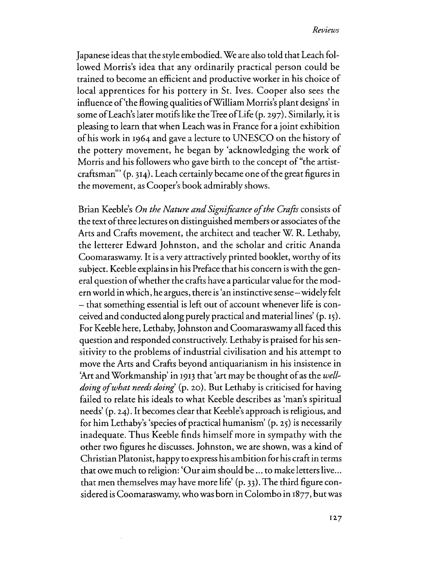Japanese ideas that the style embodied. We are also told that Leach followed Morris's idea that any ordinarily practical person could be trained to become an efficient and productive worker in his choice of local apprentices for his pottery in St. Ives. Cooper also sees the influence of'the flowing qualities ofWilliam Morris's plant designs' in some ofLeach'slater motifs like theTree ofLife (p. 297). Similarly, it is pleasing to learn that when Leach was in France for a joint exhibition ofhis work in 1964 and gave a lecture to UNESCO on the history of the pottery movement, he began by 'acknowledging the work of Morris and his followers who gave birth to the concept of "the artistcraftsman" (p. 314). Leach certainly became one ofthe great figures in the movement, as Cooper's book admirably shows.

Brian Keeble's *On the Nature and Significance of the Crafts* consists of the text of three lectures on distinguished members or associates of the Arts and Crafts movement, the architect and teacher W. R. Lethaby, the letterer Edward johnston, and the scholar and critic Ananda Coomaraswamy. It is a very attractively printed booklet, worthy of its subject. Keeble explains in his Preface that his concern iswith the general question ofwhether the crafts have a particular value for the modern world in which, he argues, there is 'an instinctive sense-widely felt - that something essential is left out of account whenever life is conceived and conducted along purely practical and material lines' (p, 15). For Keeble here, Lethaby, johnston and Coomaraswamy all faced this question and responded constructively. Lethaby is praised for his sensitivity to the problems of industrial civilisation and his attempt to move the Arts and Crafts beyond antiquarianism in his insistence in 'Art and Workmanship' in 1913 that 'art may be thought of as the *welldoing of what needs doing*' (p. 20). But Lethaby is criticised for having failed to relate his ideals to what Keeble describes as 'man's spiritual needs' (p. 24). It becomes clear that Keeble's approach isreligious, and for him Lethaby's 'species of practical humanism'  $(p, 25)$  is necessarily inadequate. Thus Keeble finds himself more in sympathy with the other two figures he discusses. johnsron, we are shown, was a kind of Christian Platonist, happy to express his ambition for his craft in terms that owe much to religion: 'Our aim should be ... to make letters live... that men themselves may have more life' (p. 33). The third figure considered isCoomaraswamy, who was born in Colombo in 1877, butwas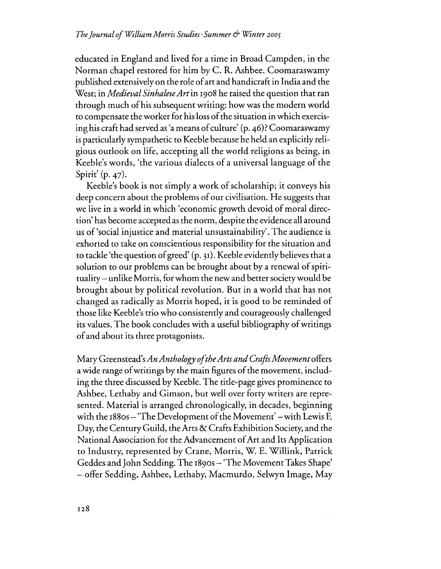educated in England and lived for a time in Broad Campden, in the Norman chapel restored for him by C. R. Ashbee. Coomaraswamy published extensivelyon the role ofart and handicraft in India and the West; in *Medieval SinbaleseArt*in 1908he raised the question that ran through much ofhis subsequent writing: how was the modern world to compensate the worker for his lossofthe situation in which exercising his craft had served as 'a means of culture' (p. 46)? Coomaraswamy isparticularly sympathetic to Keeble because he held an explicitly religious outlook on life, accepting all the world religions as being, in Keeble's words, 'the various dialects of a universal language of the Spirit' (p. 47).

Keeble's book is not simply a work of scholarship; it conveys his deep concern about the problems of our civilisation. He suggests that we live in a world in which 'economic growth devoid of moral direction' has become accepted as the norm, despite the evidence all around us of'social injustice and material unsustainability'. The audience is exhorted to take on conscientious responsibility for the situation and to tackle 'the question ofgreed' (p. 31). Keeble evidently believesthat a solution to our problems can be brought about by a renewal of spirituality-unlike Morris, for whom the new and better society would be brought about by political revolution. But in a world that has not changed as radically as Morris hoped, it is good to be reminded of those like Keeble's trio who consistently and courageously challenged its values. The book concludes with a useful bibliography of writings ofand about its three protagonists.

Mary Greenstead's*AnAnthology oftheArtsandCrafts Movement* offers a wide range of writings by the main figures of the movement, including the three discussed by Keeble.The title-page gives prominence to Ashbee, Lethaby and Gimson, but well over forty writers are represented. Material is arranged chronologically, in decades, beginning with the 1880s - 'The Development of the Movement' – with Lewis F. Day, the Century Guild, the Arts & Crafts Exhibition Society, and the National Association for the Advancement of Art and Its Application to Industry, represented by Crane, Morris, W. E. Willink, Patrick Geddes and John Sedding, The 1890S - 'The MovementTakes Shape' - offer Sedding, Ashbee, Lethaby, Macmurdo, Selwyn Image, May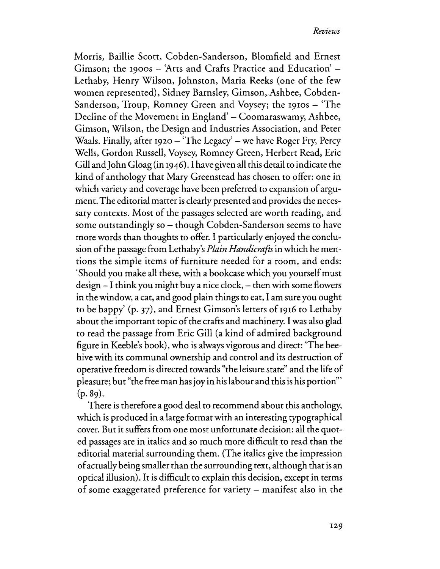Morris, Baillie Scott, Cobden-Sanderson, Blomfield and Ernest Gimson; the 1900s - 'Arts and Crafts Practice and Education' -Lethaby, Henry Wilson, johnston, Maria Reeks (one of the few women represented), Sidney Barnsley, Gimson, Ashbee, Cobden-Sanderson, Troup, Romney Green and Voysey; the 1910s - 'The Decline of the Movement in England' – Coomaraswamy, Ashbee, Gimson, Wilson, the Design and Industries Association, and Peter Waals. Finally, after 1920 – 'The Legacy' – we have Roger Fry, Percy Wells, Gordon Russell, Voysey, Romney Green, Herbert Read, Eric Gill andJohn Gloag (in 1946). I have given all this detail to indicate the kind of anthology that Mary Greenstead has chosen to offer: one in which variety and coverage have been preferred to expansion of argument. The editorial matter is clearly presented and provides the necessary contexts. Most of the passages selected are worth reading, and some outstandingly so – though Cobden-Sanderson seems to have more words than thoughts to offer. I particularly enjoyed the conclusion ofthe passage from Lethaby's *Plain Handicrafts*in which he mentions the simple items of furniture needed for a room, and ends: 'Should you make all these, with a bookcase which you yourselfmust  $design - I$  think you might buy a nice clock,  $-$  then with some flowers in the window, a cat, and good plain things to eat, I am sure you ought to be happy' (p. 37), and Ernest Gimson's letters of 1916 to Lethaby about the important topic of the crafts and machinery. I was also glad to read the passage from Eric Gill (a kind of admired background figure in Keeble's book), who is always vigorous and direct: 'The beehive with its communal ownership and control and its destruction of operative freedom is directed towards "the leisure state" and the life of pleasure; but "the freeman has joy in hislabour and this is his portion»'  $(p.89)$ .

There is therefore a good deal to recommend about this anthology, which is produced in a large format with an interesting typographical cover. But it suffers from one most unfortunate decision: all the quoted passages are in italics and so much more difficult to read than the editorial material surrounding them. (The italics give the impression ofactually being smallerthan the surrounding text, although that is an optical illusion). It is difficult to explain this decision, except in terms of some exaggerated preference for variety - manifest also in the